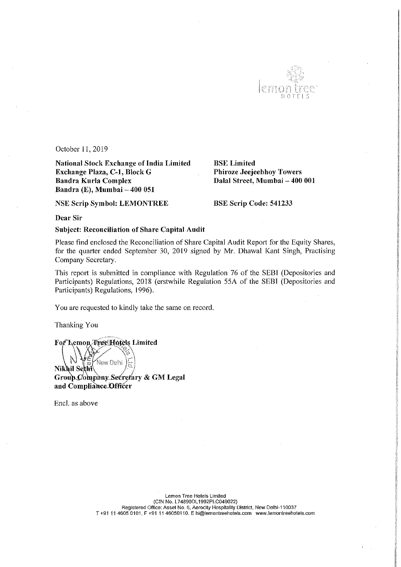

October 11,2019

National Stock Exchange of India Limited<br>
BSE Limited<br>
Bracken Bhiroze Jeejeebhoy Towers Exchange Plaza, C-1, Block G Bandra Kurla Complex Bandra (E), Mumbai - 400 051

NSE Scrip Symbol: LEMONTREE BSE Scrip Code: 541233

Dalal Street, Mumbai - 400 001

Dear Sir

Subject: Reconciliation of Share Capital Audit

Please find enclosed the Reconciliation of Share Capital Audit Report for the Equity Shares, for the quarter ended September 30, 2019 signed by Mr. Dhawal Kant Singh, Practising Company Secretary.

This report is submitted in compliance with Regulation 76 of the SEBI (Depositories and Participants) Regulations, <sup>2018</sup> (erstwhile Regulation 55A of the SEBl (Depositories and Participants) Regulations, I996).

You are requested to kindly take the same on record.

Thanking You

emop Tree Hotels Limited  $\frac{1}{2}$  $\mathbf{ikhi}\ \mathbf{Self}^{\text{new beam}}_{\mathbf{kl}}/\mathbb{E}\Big)$ New Delhi Group Company Secretary & GM Legal and Compliance Officer

Encl. as above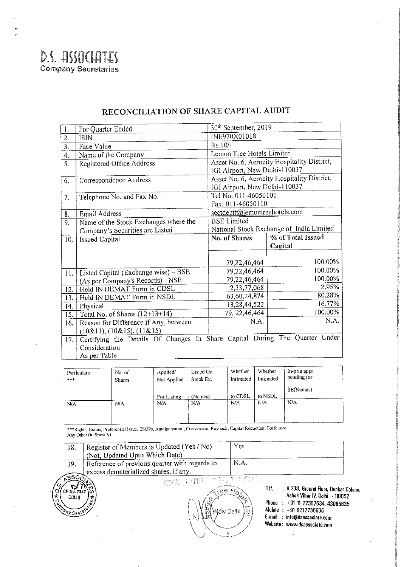

| 1.               | For Quarter Ended                                                           | 30 <sup>th</sup> September, 2019            |                   |  |
|------------------|-----------------------------------------------------------------------------|---------------------------------------------|-------------------|--|
| $\overline{2}$ . | <b>ISIN</b>                                                                 | INE970X01018                                |                   |  |
| 3.               | Face Value                                                                  | Rs.10/-                                     |                   |  |
| 4.               | Name of the Company                                                         | Lemon Tree Hotels Limited                   |                   |  |
| $\overline{5}$ . | Registered Office Address                                                   | Asset No. 6, Aerocity Hospitality District, |                   |  |
|                  |                                                                             | IGI Airport, New Delhi-110037               |                   |  |
| 6.               | Correspondence Address                                                      | Asset No. 6, Aerocity Hospitality District, |                   |  |
|                  |                                                                             | IGI Airport, New Delhi-110037               |                   |  |
| 7.               | Telephone No. and Fax No.                                                   | Tel No: 011-46050101                        |                   |  |
|                  |                                                                             | Fax: 011-46050110                           |                   |  |
| 8.               | <b>Email Address</b>                                                        | sectdeptt@lemontreehotels.com               |                   |  |
| 9.               | Name of the Stock Exchanges where the                                       | <b>BSE</b> Limited                          |                   |  |
|                  | Company's Securities are Listed                                             | National Stock Exchange of India Limited    |                   |  |
| 10 <sup>1</sup>  | <b>Issued Capital</b>                                                       | No. of Shares                               | % of Total Issued |  |
|                  |                                                                             |                                             | Capital           |  |
|                  |                                                                             |                                             |                   |  |
|                  |                                                                             | 79,22,46,464                                | 100.00%           |  |
| 11.              | Listed Capital (Exchange wise) - BSE                                        | 79,22,46,464                                | 100.00%           |  |
|                  | (As per Company's Records) - NSE                                            | 79,22,46,464                                | 100.00%           |  |
| 12.              | Held IN DEMAT Form in CDSL                                                  | 2,33,77,068                                 | 2.95%             |  |
| 13.              | Held IN DEMAT Form in NSDL                                                  | 63, 60, 24, 874                             | 80.28%            |  |
| 14.              |                                                                             |                                             |                   |  |
|                  | Physical                                                                    | 13,28,44,522                                | 16.77%            |  |
| 15.              | Total No. of Shares (12+13+14)                                              | 79, 22, 46, 464                             | 100.00%           |  |
| 16.              | Reason for Difference if Any, between                                       | NA.                                         | N.A.              |  |
|                  | (10&11), (10&15), (11&15)                                                   |                                             |                   |  |
| 17 <sup>2</sup>  | Certifying the Details Of Changes In Share Capital During The Quarter Under |                                             |                   |  |
|                  | Consideration                                                               |                                             |                   |  |

## RECONCILIATION OF SHARE CAPITAL AUDIT

| Particulars<br>*** | No. of<br><b>Shares</b> | Applied/<br>Not Applied | Listed On<br>Stock Ex. | Whether<br>Intimated | Whether<br>Intimated | In-prin.appr.<br>pending for |
|--------------------|-------------------------|-------------------------|------------------------|----------------------|----------------------|------------------------------|
|                    |                         | For Listing             | (Names)                | to CDSL              | to NSDL              | SE(Names)                    |
| N/A                | N/A                     | N/A                     | N/A                    | N/A                  | N/A                  | N/A                          |

\*\*\*Rights, Bonus, Preferential Issue, ESOPs, Amalgamation, Conversion, Buyback, Capital Reduction, Forfeiture<br>Any Other (to Specify)

| 18.                                                   | Register of Members is Updated (Yes / No)<br>(Not, Updated Upto Which Date)            | Yes                                                         |                                                                                                                                                                                                                |
|-------------------------------------------------------|----------------------------------------------------------------------------------------|-------------------------------------------------------------|----------------------------------------------------------------------------------------------------------------------------------------------------------------------------------------------------------------|
| 19.                                                   | Reference of previous quarter with regards to<br>excess dematerialized shares, if any. | N.A.                                                        |                                                                                                                                                                                                                |
| Ωï<br>CP No. 734<br>$\star$<br>DELHI<br>CARANY Sected | CERTIFIED TRUE COPY<br>N                                                               | $\sqrt{ee}H_0$<br><b>Wéw Delhi</b><br>بوسا<br>$\Omega$<br>☆ | Off.<br>: A-233, Ground Floor, Bunkar Colony,<br>Ashok Vihar IV, Delhi - 110052<br>Phone: +91 11 27307634, 43085635<br>Mobile: +91 9212735635<br>E-mail : info@dsassociate.com<br>Website: www.dsassociate.com |